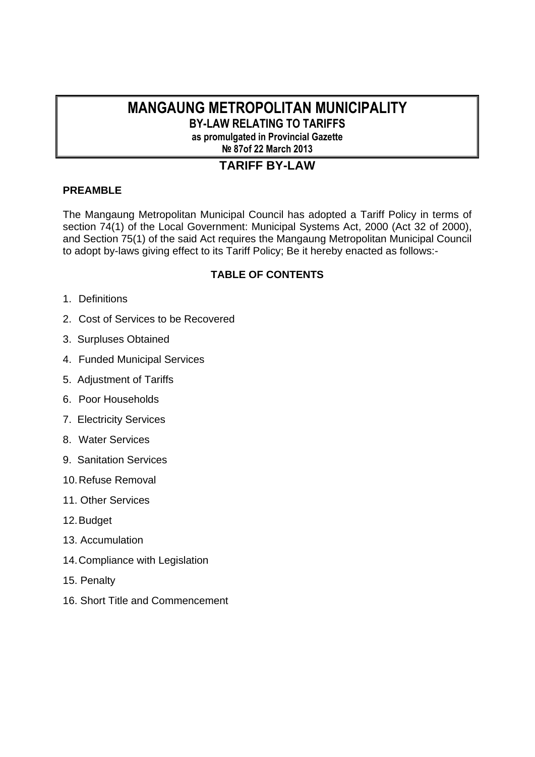# **MANGAUNG METROPOLITAN MUNICIPALITY**

**BY-LAW RELATING TO TARIFFS as promulgated in Provincial Gazette** 

**№ 87of 22 March 2013** 

# **TARIFF BY-LAW**

# **PREAMBLE**

The Mangaung Metropolitan Municipal Council has adopted a Tariff Policy in terms of section 74(1) of the Local Government: Municipal Systems Act, 2000 (Act 32 of 2000), and Section 75(1) of the said Act requires the Mangaung Metropolitan Municipal Council to adopt by-laws giving effect to its Tariff Policy; Be it hereby enacted as follows:-

# **TABLE OF CONTENTS**

- 1. Definitions
- 2. Cost of Services to be Recovered
- 3. Surpluses Obtained
- 4. Funded Municipal Services
- 5. Adjustment of Tariffs
- 6. Poor Households
- 7. Electricity Services
- 8. Water Services
- 9. Sanitation Services
- 10. Refuse Removal
- 11. Other Services
- 12. Budget
- 13. Accumulation
- 14. Compliance with Legislation
- 15. Penalty
- 16. Short Title and Commencement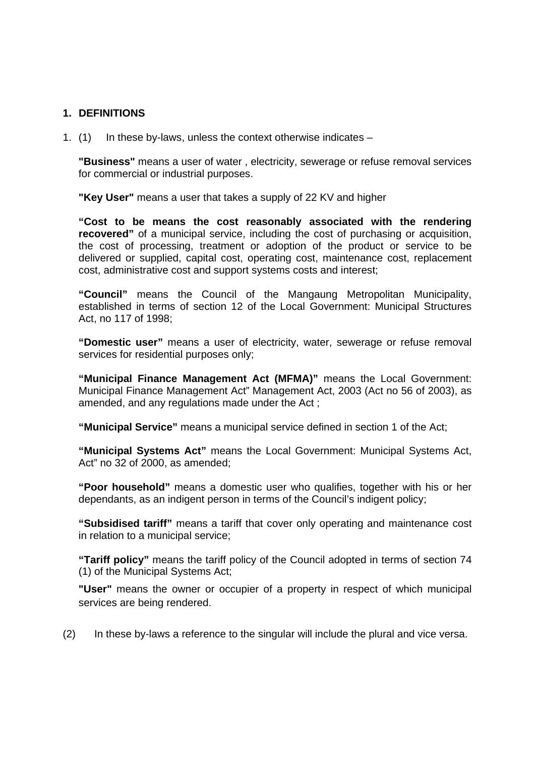## **1. DEFINITIONS**

1. (1) In these by-laws, unless the context otherwise indicates –

**"Business"** means a user of water , electricity, sewerage or refuse removal services for commercial or industrial purposes.

**"Key User"** means a user that takes a supply of 22 KV and higher

**"Cost to be means the cost reasonably associated with the rendering recovered"** of a municipal service, including the cost of purchasing or acquisition, the cost of processing, treatment or adoption of the product or service to be delivered or supplied, capital cost, operating cost, maintenance cost, replacement cost, administrative cost and support systems costs and interest;

**"Council"** means the Council of the Mangaung Metropolitan Municipality, established in terms of section 12 of the Local Government: Municipal Structures Act, no 117 of 1998;

**"Domestic user"** means a user of electricity, water, sewerage or refuse removal services for residential purposes only;

**"Municipal Finance Management Act (MFMA)"** means the Local Government: Municipal Finance Management Act" Management Act, 2003 (Act no 56 of 2003), as amended, and any regulations made under the Act ;

**"Municipal Service"** means a municipal service defined in section 1 of the Act;

**"Municipal Systems Act"** means the Local Government: Municipal Systems Act, Act" no 32 of 2000, as amended;

**"Poor household"** means a domestic user who qualifies, together with his or her dependants, as an indigent person in terms of the Council's indigent policy;

**"Subsidised tariff"** means a tariff that cover only operating and maintenance cost in relation to a municipal service;

**"Tariff policy"** means the tariff policy of the Council adopted in terms of section 74 (1) of the Municipal Systems Act;

**"User"** means the owner or occupier of a property in respect of which municipal services are being rendered.

(2) In these by-laws a reference to the singular will include the plural and vice versa.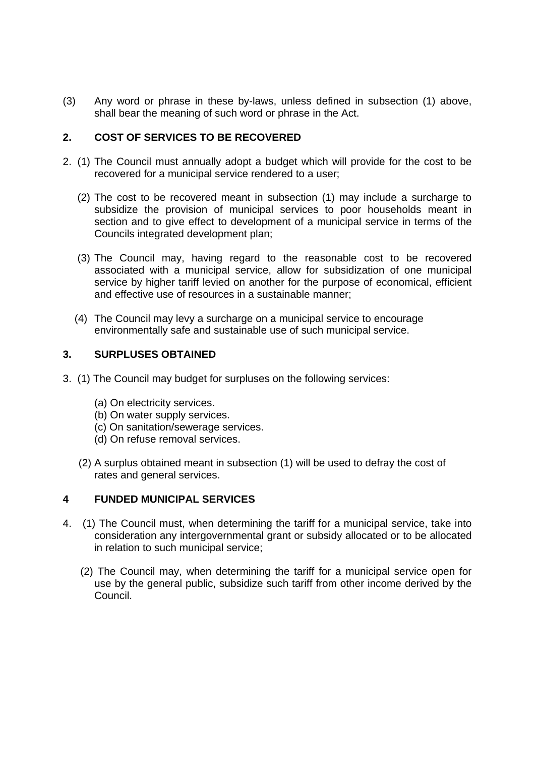(3) Any word or phrase in these by-laws, unless defined in subsection (1) above, shall bear the meaning of such word or phrase in the Act.

# **2. COST OF SERVICES TO BE RECOVERED**

- 2. (1) The Council must annually adopt a budget which will provide for the cost to be recovered for a municipal service rendered to a user;
	- (2) The cost to be recovered meant in subsection (1) may include a surcharge to subsidize the provision of municipal services to poor households meant in section and to give effect to development of a municipal service in terms of the Councils integrated development plan;
	- (3) The Council may, having regard to the reasonable cost to be recovered associated with a municipal service, allow for subsidization of one municipal service by higher tariff levied on another for the purpose of economical, efficient and effective use of resources in a sustainable manner;
	- (4) The Council may levy a surcharge on a municipal service to encourage environmentally safe and sustainable use of such municipal service.

## **3. SURPLUSES OBTAINED**

- 3. (1) The Council may budget for surpluses on the following services:
	- (a) On electricity services.
	- (b) On water supply services.
	- (c) On sanitation/sewerage services.
	- (d) On refuse removal services.
	- (2) A surplus obtained meant in subsection (1) will be used to defray the cost of rates and general services.

### **4 FUNDED MUNICIPAL SERVICES**

- 4. (1) The Council must, when determining the tariff for a municipal service, take into consideration any intergovernmental grant or subsidy allocated or to be allocated in relation to such municipal service;
	- (2) The Council may, when determining the tariff for a municipal service open for use by the general public, subsidize such tariff from other income derived by the Council.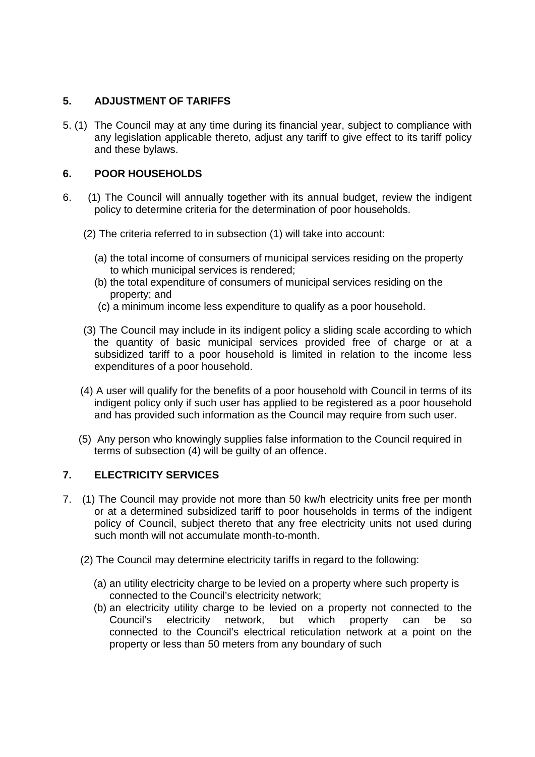# **5. ADJUSTMENT OF TARIFFS**

5. (1) The Council may at any time during its financial year, subject to compliance with any legislation applicable thereto, adjust any tariff to give effect to its tariff policy and these bylaws.

# **6. POOR HOUSEHOLDS**

- 6. (1) The Council will annually together with its annual budget, review the indigent policy to determine criteria for the determination of poor households.
	- (2) The criteria referred to in subsection (1) will take into account:
		- (a) the total income of consumers of municipal services residing on the property to which municipal services is rendered;
		- (b) the total expenditure of consumers of municipal services residing on the property; and
		- (c) a minimum income less expenditure to qualify as a poor household.
	- (3) The Council may include in its indigent policy a sliding scale according to which the quantity of basic municipal services provided free of charge or at a subsidized tariff to a poor household is limited in relation to the income less expenditures of a poor household.
	- (4) A user will qualify for the benefits of a poor household with Council in terms of its indigent policy only if such user has applied to be registered as a poor household and has provided such information as the Council may require from such user.
	- (5) Any person who knowingly supplies false information to the Council required in terms of subsection (4) will be guilty of an offence.

# **7. ELECTRICITY SERVICES**

- 7. (1) The Council may provide not more than 50 kw/h electricity units free per month or at a determined subsidized tariff to poor households in terms of the indigent policy of Council, subject thereto that any free electricity units not used during such month will not accumulate month-to-month.
	- (2) The Council may determine electricity tariffs in regard to the following:
		- (a) an utility electricity charge to be levied on a property where such property is connected to the Council's electricity network;
		- (b) an electricity utility charge to be levied on a property not connected to the Council's electricity network, but which property can be so connected to the Council's electrical reticulation network at a point on the property or less than 50 meters from any boundary of such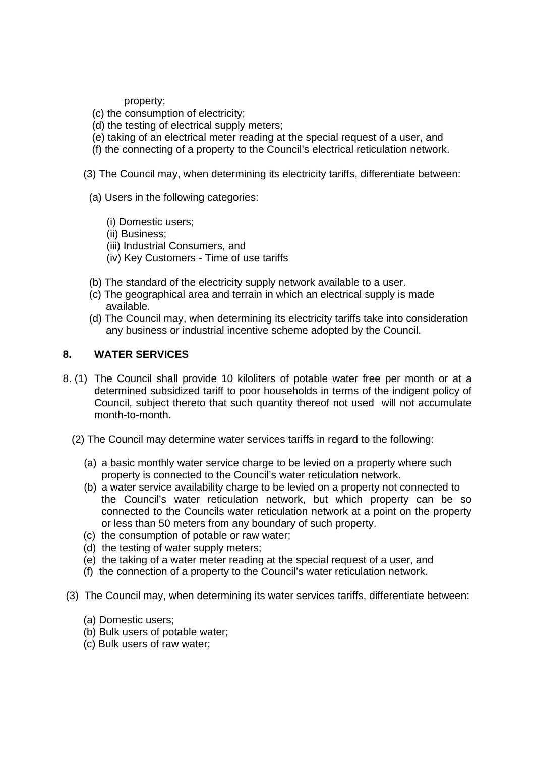property;

- (c) the consumption of electricity;
- (d) the testing of electrical supply meters;
- (e) taking of an electrical meter reading at the special request of a user, and
- (f) the connecting of a property to the Council's electrical reticulation network.
- (3) The Council may, when determining its electricity tariffs, differentiate between:
	- (a) Users in the following categories:
		- (i) Domestic users;
		- (ii) Business;
		- (iii) Industrial Consumers, and
		- (iv) Key Customers Time of use tariffs
- (b) The standard of the electricity supply network available to a user.
- (c) The geographical area and terrain in which an electrical supply is made available.
- (d) The Council may, when determining its electricity tariffs take into consideration any business or industrial incentive scheme adopted by the Council.

### **8. WATER SERVICES**

- 8. (1) The Council shall provide 10 kiloliters of potable water free per month or at a determined subsidized tariff to poor households in terms of the indigent policy of Council, subject thereto that such quantity thereof not used will not accumulate month-to-month.
	- (2) The Council may determine water services tariffs in regard to the following:
		- (a) a basic monthly water service charge to be levied on a property where such property is connected to the Council's water reticulation network.
		- (b) a water service availability charge to be levied on a property not connected to the Council's water reticulation network, but which property can be so connected to the Councils water reticulation network at a point on the property or less than 50 meters from any boundary of such property.
		- (c) the consumption of potable or raw water;
		- (d) the testing of water supply meters;
		- (e) the taking of a water meter reading at the special request of a user, and
		- (f) the connection of a property to the Council's water reticulation network.
- (3) The Council may, when determining its water services tariffs, differentiate between:
	- (a) Domestic users;
	- (b) Bulk users of potable water;
	- (c) Bulk users of raw water;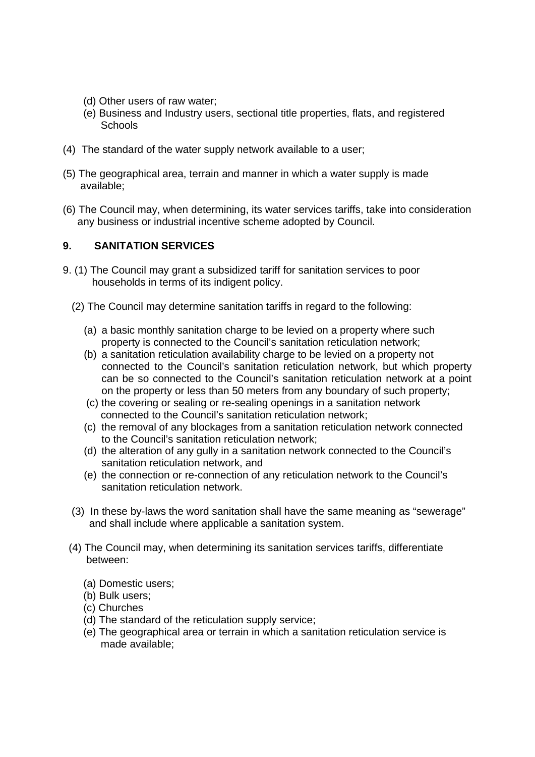- (d) Other users of raw water;
- (e) Business and Industry users, sectional title properties, flats, and registered **Schools**
- (4) The standard of the water supply network available to a user;
- (5) The geographical area, terrain and manner in which a water supply is made available;
- (6) The Council may, when determining, its water services tariffs, take into consideration any business or industrial incentive scheme adopted by Council.

## **9. SANITATION SERVICES**

- 9. (1) The Council may grant a subsidized tariff for sanitation services to poor households in terms of its indigent policy.
	- (2) The Council may determine sanitation tariffs in regard to the following:
		- (a) a basic monthly sanitation charge to be levied on a property where such property is connected to the Council's sanitation reticulation network;
		- (b) a sanitation reticulation availability charge to be levied on a property not connected to the Council's sanitation reticulation network, but which property can be so connected to the Council's sanitation reticulation network at a point on the property or less than 50 meters from any boundary of such property;
		- (c) the covering or sealing or re-sealing openings in a sanitation network connected to the Council's sanitation reticulation network;
		- (c) the removal of any blockages from a sanitation reticulation network connected to the Council's sanitation reticulation network;
		- (d) the alteration of any gully in a sanitation network connected to the Council's sanitation reticulation network, and
		- (e) the connection or re-connection of any reticulation network to the Council's sanitation reticulation network.
	- (3) In these by-laws the word sanitation shall have the same meaning as "sewerage" and shall include where applicable a sanitation system.
	- (4) The Council may, when determining its sanitation services tariffs, differentiate between:
		- (a) Domestic users;
		- (b) Bulk users;
		- (c) Churches
		- (d) The standard of the reticulation supply service;
		- (e) The geographical area or terrain in which a sanitation reticulation service is made available;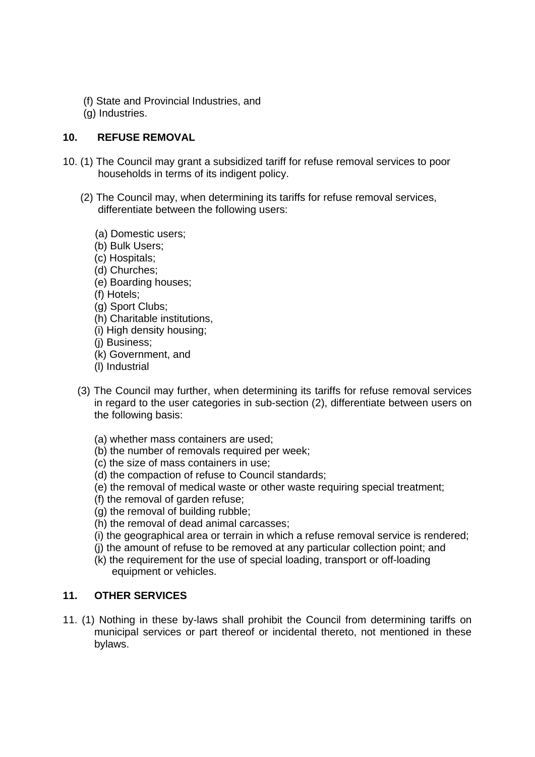- (f) State and Provincial Industries, and
- (g) Industries.

## **10. REFUSE REMOVAL**

- 10. (1) The Council may grant a subsidized tariff for refuse removal services to poor households in terms of its indigent policy.
	- (2) The Council may, when determining its tariffs for refuse removal services, differentiate between the following users:
		- (a) Domestic users;
		- (b) Bulk Users;
		- (c) Hospitals;
		- (d) Churches;
		- (e) Boarding houses;
		- (f) Hotels;
		- (g) Sport Clubs;
		- (h) Charitable institutions,
		- (i) High density housing;
		- (j) Business;
		- (k) Government, and
		- (l) Industrial
	- (3) The Council may further, when determining its tariffs for refuse removal services in regard to the user categories in sub-section (2), differentiate between users on the following basis:
		- (a) whether mass containers are used;
		- (b) the number of removals required per week:
		- (c) the size of mass containers in use;
		- (d) the compaction of refuse to Council standards;
		- (e) the removal of medical waste or other waste requiring special treatment;
		- (f) the removal of garden refuse;
		- (g) the removal of building rubble;
		- (h) the removal of dead animal carcasses;
		- (i) the geographical area or terrain in which a refuse removal service is rendered;
		- (j) the amount of refuse to be removed at any particular collection point; and
		- (k) the requirement for the use of special loading, transport or off-loading equipment or vehicles.

## **11. OTHER SERVICES**

11. (1) Nothing in these by-laws shall prohibit the Council from determining tariffs on municipal services or part thereof or incidental thereto, not mentioned in these bylaws.